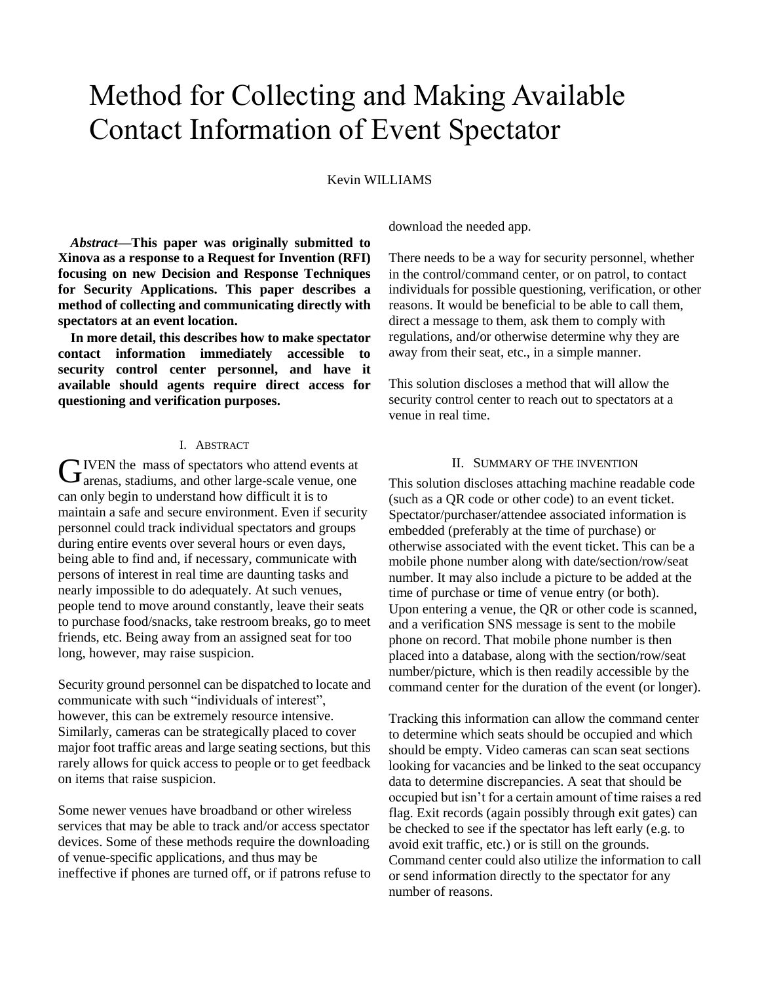# Method for Collecting and Making Available Contact Information of Event Spectator

#### Kevin WILLIAMS

*Abstract***—This paper was originally submitted to Xinova as a response to a Request for Invention (RFI) focusing on new Decision and Response Techniques for Security Applications. This paper describes a method of collecting and communicating directly with spectators at an event location.** 

**In more detail, this describes how to make spectator contact information immediately accessible to security control center personnel, and have it available should agents require direct access for questioning and verification purposes.**

#### I. ABSTRACT

IVEN the mass of spectators who attend events at **GIVEN** the mass of spectators who attend events at arenas, stadiums, and other large-scale venue, one can only begin to understand how difficult it is to maintain a safe and secure environment. Even if security personnel could track individual spectators and groups during entire events over several hours or even days, being able to find and, if necessary, communicate with persons of interest in real time are daunting tasks and nearly impossible to do adequately. At such venues, people tend to move around constantly, leave their seats to purchase food/snacks, take restroom breaks, go to meet friends, etc. Being away from an assigned seat for too long, however, may raise suspicion.

Security ground personnel can be dispatched to locate and communicate with such "individuals of interest", however, this can be extremely resource intensive. Similarly, cameras can be strategically placed to cover major foot traffic areas and large seating sections, but this rarely allows for quick access to people or to get feedback on items that raise suspicion.

Some newer venues have broadband or other wireless services that may be able to track and/or access spectator devices. Some of these methods require the downloading of venue-specific applications, and thus may be ineffective if phones are turned off, or if patrons refuse to download the needed app.

There needs to be a way for security personnel, whether in the control/command center, or on patrol, to contact individuals for possible questioning, verification, or other reasons. It would be beneficial to be able to call them, direct a message to them, ask them to comply with regulations, and/or otherwise determine why they are away from their seat, etc., in a simple manner.

This solution discloses a method that will allow the security control center to reach out to spectators at a venue in real time.

#### II. SUMMARY OF THE INVENTION

This solution discloses attaching machine readable code (such as a QR code or other code) to an event ticket. Spectator/purchaser/attendee associated information is embedded (preferably at the time of purchase) or otherwise associated with the event ticket. This can be a mobile phone number along with date/section/row/seat number. It may also include a picture to be added at the time of purchase or time of venue entry (or both). Upon entering a venue, the QR or other code is scanned, and a verification SNS message is sent to the mobile phone on record. That mobile phone number is then placed into a database, along with the section/row/seat number/picture, which is then readily accessible by the command center for the duration of the event (or longer).

Tracking this information can allow the command center to determine which seats should be occupied and which should be empty. Video cameras can scan seat sections looking for vacancies and be linked to the seat occupancy data to determine discrepancies. A seat that should be occupied but isn't for a certain amount of time raises a red flag. Exit records (again possibly through exit gates) can be checked to see if the spectator has left early (e.g. to avoid exit traffic, etc.) or is still on the grounds. Command center could also utilize the information to call or send information directly to the spectator for any number of reasons.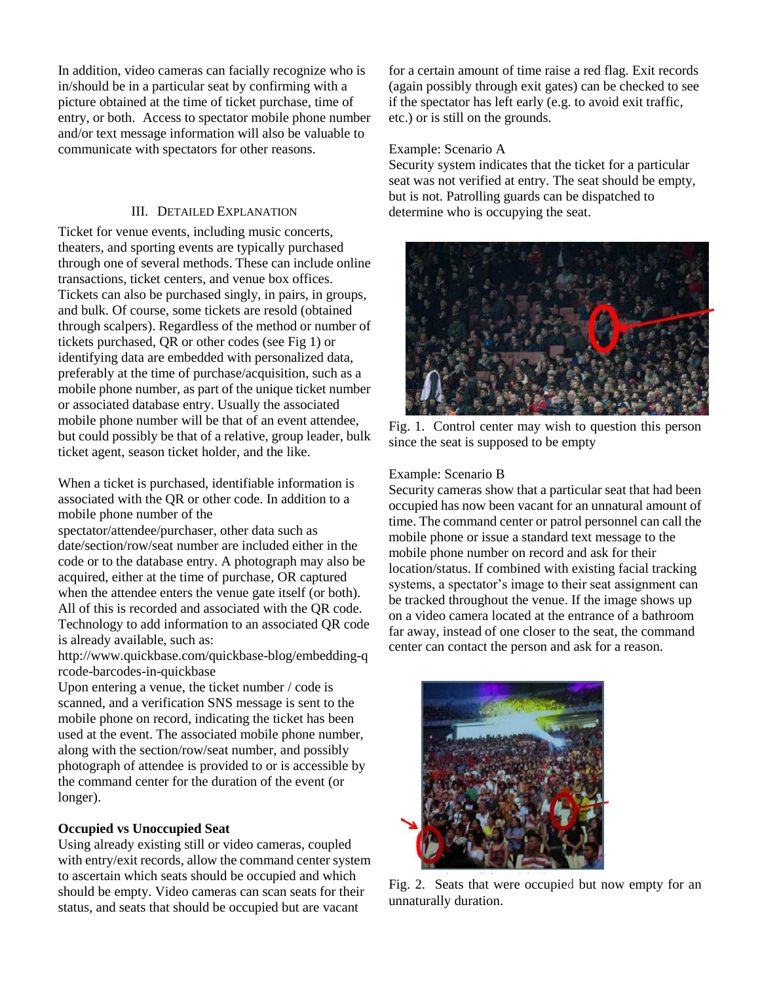In addition, video cameras can facially recognize who is in/should be in a particular seat by confirming with a picture obtained at the time of ticket purchase, time of entry, or both. Access to spectator mobile phone number and/or text message information will also be valuable to communicate with spectators for other reasons.

### III. DETAILED EXPLANATION

Ticket for venue events, including music concerts, theaters, and sporting events are typically purchased through one of several methods. These can include online transactions, ticket centers, and venue box offices. Tickets can also be purchased singly, in pairs, in groups, and bulk. Of course, some tickets are resold (obtained through scalpers). Regardless of the method or number of tickets purchased, QR or other codes (see Fig 1) or identifying data are embedded with personalized data, preferably at the time of purchase/acquisition, such as a mobile phone number, as part of the unique ticket number or associated database entry. Usually the associated mobile phone number will be that of an event attendee, but could possibly be that of a relative, group leader, bulk ticket agent, season ticket holder, and the like.

When a ticket is purchased, identifiable information is associated with the QR or other code. In addition to a mobile phone number of the

spectator/attendee/purchaser, other data such as date/section/row/seat number are included either in the code or to the database entry. A photograph may also be acquired, either at the time of purchase, OR captured when the attendee enters the venue gate itself (or both). All of this is recorded and associated with the QR code. Technology to add information to an associated QR code is already available, such as:

http://www.quickbase.com/quickbase-blog/embedding-q rcode-barcodes-in-quickbase

Upon entering a venue, the ticket number / code is scanned, and a verification SNS message is sent to the mobile phone on record, indicating the ticket has been used at the event. The associated mobile phone number, along with the section/row/seat number, and possibly photograph of attendee is provided to or is accessible by the command center for the duration of the event (or longer).

## **Occupied vs Unoccupied Seat**

Using already existing still or video cameras, coupled with entry/exit records, allow the command center system to ascertain which seats should be occupied and which should be empty. Video cameras can scan seats for their status, and seats that should be occupied but are vacant

for a certain amount of time raise a red flag. Exit records (again possibly through exit gates) can be checked to see if the spectator has left early (e.g. to avoid exit traffic, etc.) or is still on the grounds.

#### Example: Scenario A

Security system indicates that the ticket for a particular seat was not verified at entry. The seat should be empty, but is not. Patrolling guards can be dispatched to determine who is occupying the seat.



Fig. 1. Control center may wish to question this person since the seat is supposed to be empty

## Example: Scenario B

Security cameras show that a particular seat that had been occupied has now been vacant for an unnatural amount of time. The command center or patrol personnel can call the mobile phone or issue a standard text message to the mobile phone number on record and ask for their location/status. If combined with existing facial tracking systems, a spectator's image to their seat assignment can be tracked throughout the venue. If the image shows up on a video camera located at the entrance of a bathroom far away, instead of one closer to the seat, the command center can contact the person and ask for a reason.



Fig. 2. Seats that were occupied but now empty for an unnaturally duration.